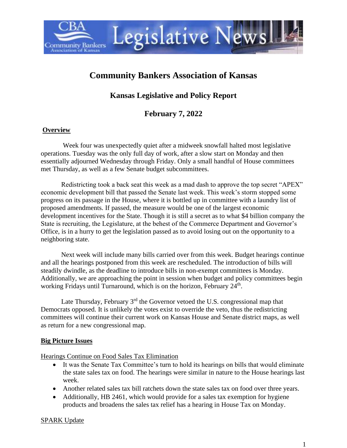

# **Community Bankers Association of Kansas**

## **Kansas Legislative and Policy Report**

## **February 7, 2022**

#### **Overview**

Week four was unexpectedly quiet after a midweek snowfall halted most legislative operations. Tuesday was the only full day of work, after a slow start on Monday and then essentially adjourned Wednesday through Friday. Only a small handful of House committees met Thursday, as well as a few Senate budget subcommittees.

Redistricting took a back seat this week as a mad dash to approve the top secret "APEX" economic development bill that passed the Senate last week. This week's storm stopped some progress on its passage in the House, where it is bottled up in committee with a laundry list of proposed amendments. If passed, the measure would be one of the largest economic development incentives for the State. Though it is still a secret as to what \$4 billion company the State is recruiting, the Legislature, at the behest of the Commerce Department and Governor's Office, is in a hurry to get the legislation passed as to avoid losing out on the opportunity to a neighboring state.

Next week will include many bills carried over from this week. Budget hearings continue and all the hearings postponed from this week are rescheduled. The introduction of bills will steadily dwindle, as the deadline to introduce bills in non-exempt committees is Monday. Additionally, we are approaching the point in session when budget and policy committees begin working Fridays until Turnaround, which is on the horizon, February 24<sup>th</sup>.

Late Thursday, February  $3<sup>rd</sup>$  the Governor vetoed the U.S. congressional map that Democrats opposed. It is unlikely the votes exist to override the veto, thus the redistricting committees will continue their current work on Kansas House and Senate district maps, as well as return for a new congressional map.

#### **Big Picture Issues**

Hearings Continue on Food Sales Tax Elimination

- It was the Senate Tax Committee's turn to hold its hearings on bills that would eliminate the state sales tax on food. The hearings were similar in nature to the House hearings last week.
- Another related sales tax bill ratchets down the state sales tax on food over three years.
- Additionally, HB 2461, which would provide for a sales tax exemption for hygiene products and broadens the sales tax relief has a hearing in House Tax on Monday.

#### SPARK Update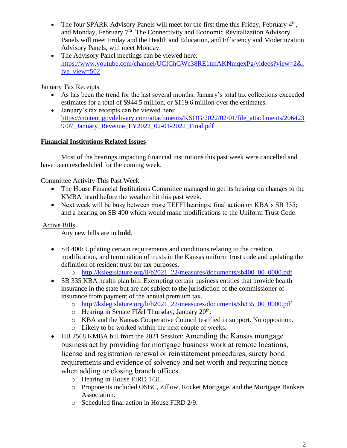- The four SPARK Advisory Panels will meet for the first time this Friday, February  $4<sup>th</sup>$ , and Monday, February  $7<sup>th</sup>$ . The Connectivity and Economic Revitalization Advisory Panels will meet Friday and the Health and Education, and Efficiency and Modernization Advisory Panels, will meet Monday.
- The Advisory Panel meetings can be viewed here: [https://www.youtube.com/channel/UCfChGWc38RE1tmAKNmqexPg/videos?view=2&l](https://www.youtube.com/channel/UCfChGWc38RE1tmAKNmqexPg/videos?view=2&live_view=502) [ive\\_view=502](https://www.youtube.com/channel/UCfChGWc38RE1tmAKNmqexPg/videos?view=2&live_view=502)

#### January Tax Receipts

- As has been the trend for the last several months, January's total tax collections exceeded estimates for a total of \$944.5 million, or \$119.6 million over the estimates.
- January's tax receipts can be viewed here: [https://content.govdelivery.com/attachments/KSOG/2022/02/01/file\\_attachments/206423](https://content.govdelivery.com/attachments/KSOG/2022/02/01/file_attachments/2064239/07_January_Revenue_FY2022_02-01-2022_Final.pdf) [9/07\\_January\\_Revenue\\_FY2022\\_02-01-2022\\_Final.pdf](https://content.govdelivery.com/attachments/KSOG/2022/02/01/file_attachments/2064239/07_January_Revenue_FY2022_02-01-2022_Final.pdf)

#### **Financial Institutions Related Issues**

Most of the hearings impacting financial institutions this past week were cancelled and have been rescheduled for the coming week.

#### Committee Activity This Past Week

- The House Financial Institutions Committee managed to get its hearing on changes to the KMBA heard before the weather hit this past week.
- Next week will be busy between more TEFFI hearings; final action on KBA's SB 335; and a hearing on SB 400 which would make modifications to the Uniform Trust Code.

#### Active Bills

Any new bills are in **bold**.

- SB 400: Updating certain requirements and conditions relating to the creation, modification, and termination of trusts in the Kansas uniform trust code and updating the definition of resident trust for tax purposes.
	- o [http://kslegislature.org/li/b2021\\_22/measures/documents/sb400\\_00\\_0000.pdf](http://kslegislature.org/li/b2021_22/measures/documents/sb400_00_0000.pdf)
- SB 335 KBA health plan bill: Exempting certain business entities that provide health insurance in the state but are not subject to the jurisdiction of the commissioner of insurance from payment of the annual premium tax.
	- o [http://kslegislature.org/li/b2021\\_22/measures/documents/sb335\\_00\\_0000.pdf](http://kslegislature.org/li/b2021_22/measures/documents/sb335_00_0000.pdf)
	- $\circ$  Hearing in Senate FI&I Thursday, January 20<sup>th</sup>.
	- o KBA and the Kansas Cooperative Council testified in support. No opposition.
	- o Likely to be worked within the next couple of weeks.
- HB 2568 KMBA bill from the 2021 Session: Amending the Kansas mortgage business act by providing for mortgage business work at remote locations, license and registration renewal or reinstatement procedures, surety bond requirements and evidence of solvency and net worth and requiring notice when adding or closing branch offices.
	- o Hearing in House FIRD 1/31.
	- o Proponents included OSBC, Zillow, Rocket Mortgage, and the Mortgage Bankers Association.
	- o Scheduled final action in House FIRD 2/9.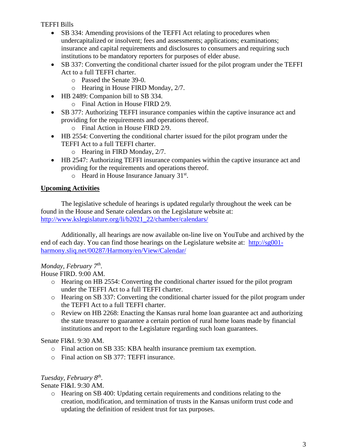TEFFI Bills

- SB 334: Amending provisions of the TEFFI Act relating to procedures when undercapitalized or insolvent; fees and assessments; applications; examinations; insurance and capital requirements and disclosures to consumers and requiring such institutions to be mandatory reporters for purposes of elder abuse.
- SB 337: Converting the conditional charter issued for the pilot program under the TEFFI Act to a full TEFFI charter.
	- o Passed the Senate 39-0.
	- o Hearing in House FIRD Monday, 2/7.
- HB 2489: Companion bill to SB 334.
	- o Final Action in House FIRD 2/9.
- SB 377: Authorizing TEFFI insurance companies within the captive insurance act and providing for the requirements and operations thereof.
	- o Final Action in House FIRD 2/9.
- HB 2554: Converting the conditional charter issued for the pilot program under the TEFFI Act to a full TEFFI charter.
	- o Hearing in FIRD Monday, 2/7.
- HB 2547: Authorizing TEFFI insurance companies within the captive insurance act and providing for the requirements and operations thereof.
	- o Heard in House Insurance January 31<sup>st</sup>.

## **Upcoming Activities**

The legislative schedule of hearings is updated regularly throughout the week can be found in the House and Senate calendars on the Legislature website at: [http://www.kslegislature.org/li/b2021\\_22/chamber/calendars/](http://www.kslegislature.org/li/b2021_22/chamber/calendars/)

Additionally, all hearings are now available on-line live on YouTube and archived by the end of each day. You can find those hearings on the Legislature website at: [http://sg001](http://sg001-harmony.sliq.net/00287/Harmony/en/View/Calendar/) [harmony.sliq.net/00287/Harmony/en/View/Calendar/](http://sg001-harmony.sliq.net/00287/Harmony/en/View/Calendar/)

## *Monday, February 7th .*

House FIRD. 9:00 AM.

- o Hearing on HB 2554: Converting the conditional charter issued for the pilot program under the TEFFI Act to a full TEFFI charter.
- o Hearing on SB 337: Converting the conditional charter issued for the pilot program under the TEFFI Act to a full TEFFI charter.
- o Review on HB 2268: Enacting the Kansas rural home loan guarantee act and authorizing the state treasurer to guarantee a certain portion of rural home loans made by financial institutions and report to the Legislature regarding such loan guarantees.

#### Senate FI&I. 9:30 AM.

- o Final action on SB 335: KBA health insurance premium tax exemption.
- o Final action on SB 377: TEFFI insurance.

## *Tuesday, February 8th .*

Senate FI&I. 9:30 AM.

o Hearing on SB 400: Updating certain requirements and conditions relating to the creation, modification, and termination of trusts in the Kansas uniform trust code and updating the definition of resident trust for tax purposes.